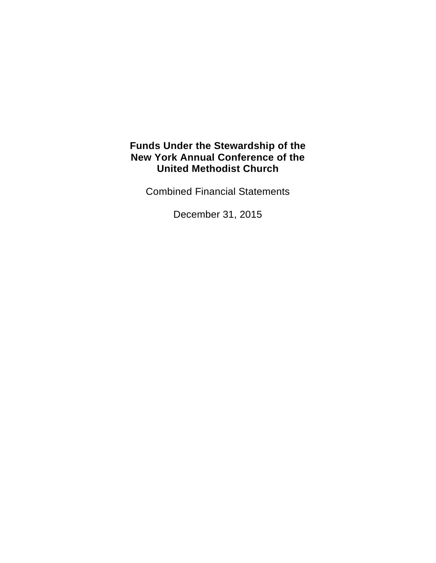Combined Financial Statements

December 31, 2015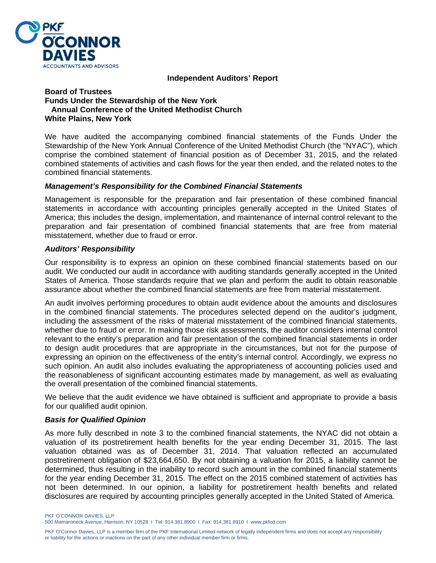

#### **Independent Auditors' Report**

#### **Board of Trustees Funds Under the Stewardship of the New York Annual Conference of the United Methodist Church White Plains, New York**

We have audited the accompanying combined financial statements of the Funds Under the Stewardship of the New York Annual Conference of the United Methodist Church (the "NYAC"), which comprise the combined statement of financial position as of December 31, 2015, and the related combined statements of activities and cash flows for the year then ended, and the related notes to the combined financial statements.

#### *Management's Responsibility for the Combined Financial Statements*

Management is responsible for the preparation and fair presentation of these combined financial statements in accordance with accounting principles generally accepted in the United States of America; this includes the design, implementation, and maintenance of internal control relevant to the preparation and fair presentation of combined financial statements that are free from material misstatement, whether due to fraud or error.

#### *Auditors' Responsibility*

Our responsibility is to express an opinion on these combined financial statements based on our audit. We conducted our audit in accordance with auditing standards generally accepted in the United States of America. Those standards require that we plan and perform the audit to obtain reasonable assurance about whether the combined financial statements are free from material misstatement.

An audit involves performing procedures to obtain audit evidence about the amounts and disclosures in the combined financial statements. The procedures selected depend on the auditor's judgment, including the assessment of the risks of material misstatement of the combined financial statements, whether due to fraud or error. In making those risk assessments, the auditor considers internal control relevant to the entity's preparation and fair presentation of the combined financial statements in order to design audit procedures that are appropriate in the circumstances, but not for the purpose of expressing an opinion on the effectiveness of the entity's internal control. Accordingly, we express no such opinion. An audit also includes evaluating the appropriateness of accounting policies used and the reasonableness of significant accounting estimates made by management, as well as evaluating the overall presentation of the combined financial statements.

We believe that the audit evidence we have obtained is sufficient and appropriate to provide a basis for our qualified audit opinion.

#### *Basis for Qualified Opinion*

As more fully described in note 3 to the combined financial statements, the NYAC did not obtain a valuation of its postretirement health benefits for the year ending December 31, 2015. The last valuation obtained was as of December 31, 2014. That valuation reflected an accumulated postretirement obligation of \$23,664,650. By not obtaining a valuation for 2015, a liability cannot be determined, thus resulting in the inability to record such amount in the combined financial statements for the year ending December 31, 2015. The effect on the 2015 combined statement of activities has not been determined. In our opinion, a liability for postretirement health benefits and related disclosures are required by accounting principles generally accepted in the United Stated of America.

PKF O'CONNOR DAVIES, LLP 500 Mamaroneck Avenue, Harrison, NY 10528 I Tel: 914.381.8900 I Fax: 914.381.8910 I www.pkfod.com

PKF O'Connor Davies, LLP is a member firm of the PKF International Limited network of legally independent firms and does not accept any responsibility or liability for the actions or inactions on the part of any other individual member firm or firms.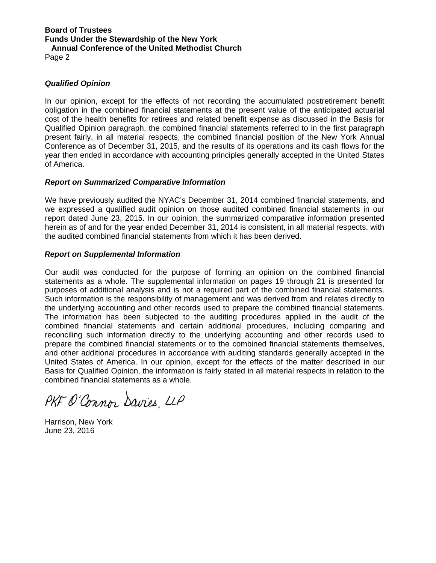#### **Board of Trustees Funds Under the Stewardship of the New York Annual Conference of the United Methodist Church**  Page 2

*Qualified Opinion* 

In our opinion, except for the effects of not recording the accumulated postretirement benefit obligation in the combined financial statements at the present value of the anticipated actuarial cost of the health benefits for retirees and related benefit expense as discussed in the Basis for Qualified Opinion paragraph, the combined financial statements referred to in the first paragraph present fairly, in all material respects, the combined financial position of the New York Annual Conference as of December 31, 2015, and the results of its operations and its cash flows for the year then ended in accordance with accounting principles generally accepted in the United States of America.

#### *Report on Summarized Comparative Information*

We have previously audited the NYAC's December 31, 2014 combined financial statements, and we expressed a qualified audit opinion on those audited combined financial statements in our report dated June 23, 2015. In our opinion, the summarized comparative information presented herein as of and for the year ended December 31, 2014 is consistent, in all material respects, with the audited combined financial statements from which it has been derived.

#### *Report on Supplemental Information*

Our audit was conducted for the purpose of forming an opinion on the combined financial statements as a whole. The supplemental information on pages 19 through 21 is presented for purposes of additional analysis and is not a required part of the combined financial statements. Such information is the responsibility of management and was derived from and relates directly to the underlying accounting and other records used to prepare the combined financial statements. The information has been subjected to the auditing procedures applied in the audit of the combined financial statements and certain additional procedures, including comparing and reconciling such information directly to the underlying accounting and other records used to prepare the combined financial statements or to the combined financial statements themselves, and other additional procedures in accordance with auditing standards generally accepted in the United States of America. In our opinion, except for the effects of the matter described in our Basis for Qualified Opinion, the information is fairly stated in all material respects in relation to the combined financial statements as a whole.

PKF O'Connor Davies, LLP

Harrison, New York June 23, 2016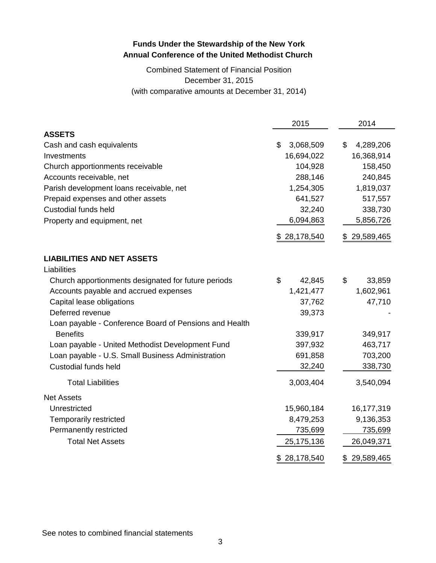## Combined Statement of Financial Position December 31, 2015 (with comparative amounts at December 31, 2014)

|                                                        | 2015            | 2014            |
|--------------------------------------------------------|-----------------|-----------------|
| <b>ASSETS</b>                                          |                 |                 |
| Cash and cash equivalents                              | \$<br>3,068,509 | \$<br>4,289,206 |
| Investments                                            | 16,694,022      | 16,368,914      |
| Church apportionments receivable                       | 104,928         | 158,450         |
| Accounts receivable, net                               | 288,146         | 240,845         |
| Parish development loans receivable, net               | 1,254,305       | 1,819,037       |
| Prepaid expenses and other assets                      | 641,527         | 517,557         |
| <b>Custodial funds held</b>                            | 32,240          | 338,730         |
| Property and equipment, net                            | 6,094,863       | 5,856,726       |
|                                                        | \$28,178,540    | 29,589,465      |
| <b>LIABILITIES AND NET ASSETS</b>                      |                 |                 |
| Liabilities                                            |                 |                 |
| Church apportionments designated for future periods    | \$<br>42,845    | \$<br>33,859    |
| Accounts payable and accrued expenses                  | 1,421,477       | 1,602,961       |
| Capital lease obligations                              | 37,762          | 47,710          |
| Deferred revenue                                       | 39,373          |                 |
| Loan payable - Conference Board of Pensions and Health |                 |                 |
| <b>Benefits</b>                                        | 339,917         | 349,917         |
| Loan payable - United Methodist Development Fund       | 397,932         | 463,717         |
| Loan payable - U.S. Small Business Administration      | 691,858         | 703,200         |
| <b>Custodial funds held</b>                            | 32,240          | 338,730         |
| <b>Total Liabilities</b>                               | 3,003,404       | 3,540,094       |
| <b>Net Assets</b>                                      |                 |                 |
| Unrestricted                                           | 15,960,184      | 16,177,319      |
| <b>Temporarily restricted</b>                          | 8,479,253       | 9,136,353       |
| Permanently restricted                                 | 735,699         | 735,699         |
| <b>Total Net Assets</b>                                | 25,175,136      | 26,049,371      |
|                                                        | \$28,178,540    | \$29,589,465    |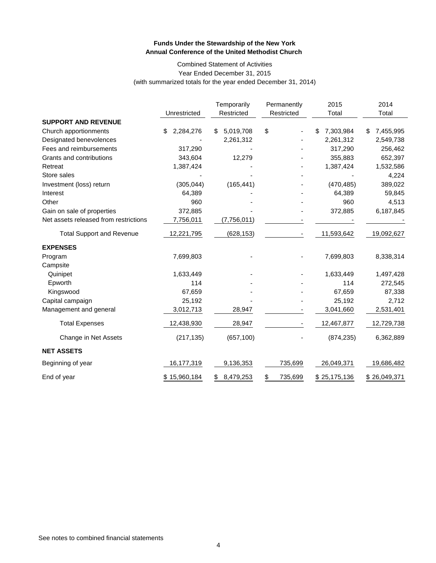#### Combined Statement of Activities Year Ended December 31, 2015 (with summarized totals for the year ended December 31, 2014)

|                                       |                 | Temporarily     | Permanently<br>Restricted | 2015            | 2014            |
|---------------------------------------|-----------------|-----------------|---------------------------|-----------------|-----------------|
| <b>SUPPORT AND REVENUE</b>            | Unrestricted    | Restricted      |                           | Total           | Total           |
| Church apportionments                 | 2,284,276<br>\$ | 5,019,708<br>\$ | \$                        | 7,303,984<br>\$ | 7,455,995<br>\$ |
| Designated benevolences               |                 | 2,261,312       |                           | 2,261,312       | 2,549,738       |
| Fees and reimbursements               | 317,290         |                 |                           | 317,290         | 256,462         |
| Grants and contributions              | 343,604         | 12,279          |                           | 355,883         | 652,397         |
| Retreat                               | 1,387,424       |                 |                           | 1,387,424       | 1,532,586       |
| Store sales                           |                 |                 |                           |                 | 4,224           |
| Investment (loss) return              | (305, 044)      | (165, 441)      |                           | (470, 485)      | 389,022         |
| Interest                              | 64,389          |                 |                           | 64,389          | 59,845          |
| Other                                 | 960             |                 |                           | 960             | 4,513           |
| Gain on sale of properties            | 372,885         |                 |                           | 372,885         | 6,187,845       |
| Net assets released from restrictions | 7,756,011       | (7,756,011)     |                           |                 |                 |
|                                       |                 |                 |                           |                 |                 |
| <b>Total Support and Revenue</b>      | 12,221,795      | (628, 153)      |                           | 11,593,642      | 19,092,627      |
| <b>EXPENSES</b>                       |                 |                 |                           |                 |                 |
| Program                               | 7,699,803       |                 |                           | 7,699,803       | 8,338,314       |
| Campsite                              |                 |                 |                           |                 |                 |
| Quinipet                              | 1,633,449       |                 |                           | 1,633,449       | 1,497,428       |
| Epworth                               | 114             |                 |                           | 114             | 272,545         |
| Kingswood                             | 67,659          |                 |                           | 67,659          | 87,338          |
| Capital campaign                      | 25,192          |                 |                           | 25,192          | 2,712           |
| Management and general                | 3,012,713       | 28,947          |                           | 3,041,660       | 2,531,401       |
| <b>Total Expenses</b>                 | 12,438,930      | 28,947          |                           | 12,467,877      | 12,729,738      |
| Change in Net Assets                  | (217, 135)      | (657, 100)      |                           | (874, 235)      | 6,362,889       |
| <b>NET ASSETS</b>                     |                 |                 |                           |                 |                 |
| Beginning of year                     | 16,177,319      | 9,136,353       | 735,699                   | 26,049,371      | 19,686,482      |
| End of year                           | \$15,960,184    | 8,479,253<br>\$ | \$<br>735,699             | \$25,175,136    | \$26,049,371    |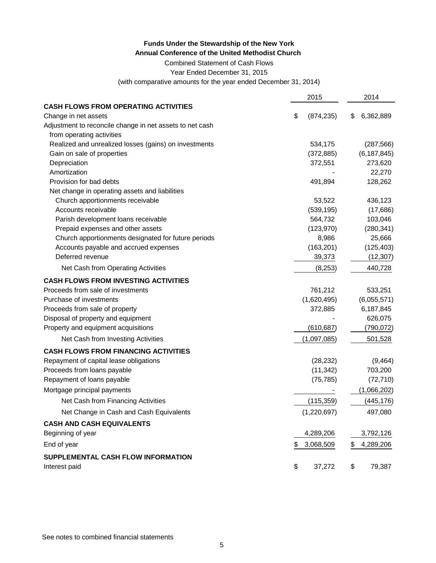Combined Statement of Cash Flows

Year Ended December 31, 2015

(with comparative amounts for the year ended December 31, 2014)

|                                                          | 2015 |             |    | 2014          |  |
|----------------------------------------------------------|------|-------------|----|---------------|--|
| <b>CASH FLOWS FROM OPERATING ACTIVITIES</b>              |      |             |    |               |  |
| Change in net assets                                     | \$   | (874, 235)  | S  | 6,362,889     |  |
| Adjustment to reconcile change in net assets to net cash |      |             |    |               |  |
| from operating activities                                |      |             |    |               |  |
| Realized and unrealized losses (gains) on investments    |      | 534,175     |    | (287, 566)    |  |
| Gain on sale of properties                               |      | (372, 885)  |    | (6, 187, 845) |  |
| Depreciation                                             |      | 372,551     |    | 273,620       |  |
| Amortization                                             |      |             |    | 22,270        |  |
| Provision for bad debts                                  |      | 491,894     |    | 128,262       |  |
| Net change in operating assets and liabilities           |      |             |    |               |  |
| Church apportionments receivable                         |      | 53,522      |    | 436,123       |  |
| Accounts receivable                                      |      | (539, 195)  |    | (17,686)      |  |
| Parish development loans receivable                      |      | 564,732     |    | 103,046       |  |
| Prepaid expenses and other assets                        |      | (123, 970)  |    | (280, 341)    |  |
| Church apportionments designated for future periods      |      | 8,986       |    | 25,666        |  |
| Accounts payable and accrued expenses                    |      | (163, 201)  |    | (125, 403)    |  |
| Deferred revenue                                         |      | 39,373      |    | (12, 307)     |  |
| Net Cash from Operating Activities                       |      | (8, 253)    |    | 440,728       |  |
| <b>CASH FLOWS FROM INVESTING ACTIVITIES</b>              |      |             |    |               |  |
| Proceeds from sale of investments                        |      | 761,212     |    | 533,251       |  |
| Purchase of investments                                  |      | (1,620,495) |    | (6,055,571)   |  |
| Proceeds from sale of property                           |      | 372,885     |    | 6,187,845     |  |
| Disposal of property and equipment                       |      |             |    | 626,075       |  |
| Property and equipment acquisitions                      |      | (610, 687)  |    | (790, 072)    |  |
| Net Cash from Investing Activities                       |      | (1,097,085) |    | 501,528       |  |
| <b>CASH FLOWS FROM FINANCING ACTIVITIES</b>              |      |             |    |               |  |
| Repayment of capital lease obligations                   |      | (28, 232)   |    | (9,464)       |  |
| Proceeds from loans payable                              |      | (11, 342)   |    | 703,200       |  |
| Repayment of loans payable                               |      | (75, 785)   |    | (72, 710)     |  |
| Mortgage principal payments                              |      |             |    | (1,066,202)   |  |
| Net Cash from Financing Activities                       |      | (115, 359)  |    | (445, 176)    |  |
| Net Change in Cash and Cash Equivalents                  |      | (1,220,697) |    | 497,080       |  |
| <b>CASH AND CASH EQUIVALENTS</b>                         |      |             |    |               |  |
| Beginning of year                                        |      | 4,289,206   |    | 3,792,126     |  |
| End of year                                              |      | 3,068,509   | \$ | 4,289,206     |  |
| SUPPLEMENTAL CASH FLOW INFORMATION                       |      |             |    |               |  |
| Interest paid                                            | \$   | 37,272      | \$ | 79,387        |  |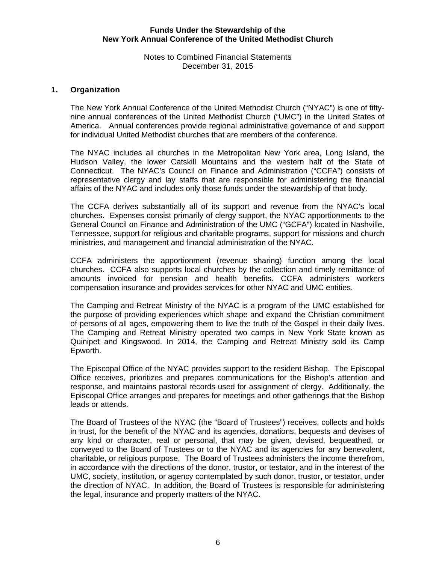#### Notes to Combined Financial Statements December 31, 2015

### **1. Organization**

The New York Annual Conference of the United Methodist Church ("NYAC") is one of fiftynine annual conferences of the United Methodist Church ("UMC") in the United States of America. Annual conferences provide regional administrative governance of and support for individual United Methodist churches that are members of the conference.

The NYAC includes all churches in the Metropolitan New York area, Long Island, the Hudson Valley, the lower Catskill Mountains and the western half of the State of Connecticut. The NYAC's Council on Finance and Administration ("CCFA") consists of representative clergy and lay staffs that are responsible for administering the financial affairs of the NYAC and includes only those funds under the stewardship of that body.

The CCFA derives substantially all of its support and revenue from the NYAC's local churches. Expenses consist primarily of clergy support, the NYAC apportionments to the General Council on Finance and Administration of the UMC ("GCFA") located in Nashville, Tennessee, support for religious and charitable programs, support for missions and church ministries, and management and financial administration of the NYAC.

CCFA administers the apportionment (revenue sharing) function among the local churches. CCFA also supports local churches by the collection and timely remittance of amounts invoiced for pension and health benefits. CCFA administers workers compensation insurance and provides services for other NYAC and UMC entities.

The Camping and Retreat Ministry of the NYAC is a program of the UMC established for the purpose of providing experiences which shape and expand the Christian commitment of persons of all ages, empowering them to live the truth of the Gospel in their daily lives. The Camping and Retreat Ministry operated two camps in New York State known as Quinipet and Kingswood. In 2014, the Camping and Retreat Ministry sold its Camp Epworth.

The Episcopal Office of the NYAC provides support to the resident Bishop. The Episcopal Office receives, prioritizes and prepares communications for the Bishop's attention and response, and maintains pastoral records used for assignment of clergy. Additionally, the Episcopal Office arranges and prepares for meetings and other gatherings that the Bishop leads or attends.

The Board of Trustees of the NYAC (the "Board of Trustees") receives, collects and holds in trust, for the benefit of the NYAC and its agencies, donations, bequests and devises of any kind or character, real or personal, that may be given, devised, bequeathed, or conveyed to the Board of Trustees or to the NYAC and its agencies for any benevolent, charitable, or religious purpose. The Board of Trustees administers the income therefrom, in accordance with the directions of the donor, trustor, or testator, and in the interest of the UMC, society, institution, or agency contemplated by such donor, trustor, or testator, under the direction of NYAC. In addition, the Board of Trustees is responsible for administering the legal, insurance and property matters of the NYAC.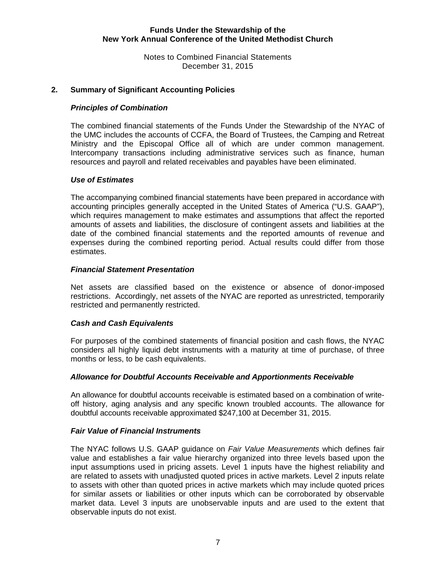Notes to Combined Financial Statements December 31, 2015

### **2. Summary of Significant Accounting Policies**

#### *Principles of Combination*

The combined financial statements of the Funds Under the Stewardship of the NYAC of the UMC includes the accounts of CCFA, the Board of Trustees, the Camping and Retreat Ministry and the Episcopal Office all of which are under common management. Intercompany transactions including administrative services such as finance, human resources and payroll and related receivables and payables have been eliminated.

#### *Use of Estimates*

The accompanying combined financial statements have been prepared in accordance with accounting principles generally accepted in the United States of America ("U.S. GAAP"), which requires management to make estimates and assumptions that affect the reported amounts of assets and liabilities, the disclosure of contingent assets and liabilities at the date of the combined financial statements and the reported amounts of revenue and expenses during the combined reporting period. Actual results could differ from those estimates.

#### *Financial Statement Presentation*

Net assets are classified based on the existence or absence of donor-imposed restrictions. Accordingly, net assets of the NYAC are reported as unrestricted, temporarily restricted and permanently restricted.

#### *Cash and Cash Equivalents*

For purposes of the combined statements of financial position and cash flows, the NYAC considers all highly liquid debt instruments with a maturity at time of purchase, of three months or less, to be cash equivalents.

#### *Allowance for Doubtful Accounts Receivable and Apportionments Receivable*

An allowance for doubtful accounts receivable is estimated based on a combination of writeoff history, aging analysis and any specific known troubled accounts. The allowance for doubtful accounts receivable approximated \$247,100 at December 31, 2015.

#### *Fair Value of Financial Instruments*

 The NYAC follows U.S. GAAP guidance on *Fair Value Measurements* which defines fair value and establishes a fair value hierarchy organized into three levels based upon the input assumptions used in pricing assets. Level 1 inputs have the highest reliability and are related to assets with unadjusted quoted prices in active markets. Level 2 inputs relate to assets with other than quoted prices in active markets which may include quoted prices for similar assets or liabilities or other inputs which can be corroborated by observable market data. Level 3 inputs are unobservable inputs and are used to the extent that observable inputs do not exist.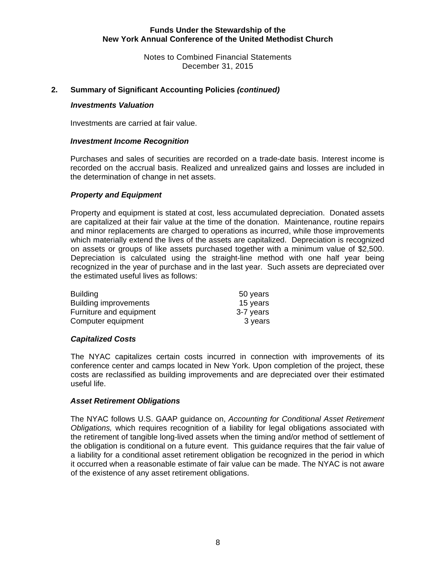Notes to Combined Financial Statements December 31, 2015

#### **2. Summary of Significant Accounting Policies** *(continued)*

#### *Investments Valuation*

Investments are carried at fair value.

#### *Investment Income Recognition*

Purchases and sales of securities are recorded on a trade-date basis. Interest income is recorded on the accrual basis. Realized and unrealized gains and losses are included in the determination of change in net assets.

## *Property and Equipment*

Property and equipment is stated at cost, less accumulated depreciation. Donated assets are capitalized at their fair value at the time of the donation. Maintenance, routine repairs and minor replacements are charged to operations as incurred, while those improvements which materially extend the lives of the assets are capitalized. Depreciation is recognized on assets or groups of like assets purchased together with a minimum value of \$2,500. Depreciation is calculated using the straight-line method with one half year being recognized in the year of purchase and in the last year. Such assets are depreciated over the estimated useful lives as follows:

| <b>Building</b>              | 50 years  |
|------------------------------|-----------|
| <b>Building improvements</b> | 15 years  |
| Furniture and equipment      | 3-7 years |
| Computer equipment           | 3 years   |

#### *Capitalized Costs*

The NYAC capitalizes certain costs incurred in connection with improvements of its conference center and camps located in New York. Upon completion of the project, these costs are reclassified as building improvements and are depreciated over their estimated useful life.

#### *Asset Retirement Obligations*

 The NYAC follows U.S. GAAP guidance on, *Accounting for Conditional Asset Retirement Obligations,* which requires recognition of a liability for legal obligations associated with the retirement of tangible long-lived assets when the timing and/or method of settlement of the obligation is conditional on a future event. This guidance requires that the fair value of a liability for a conditional asset retirement obligation be recognized in the period in which it occurred when a reasonable estimate of fair value can be made. The NYAC is not aware of the existence of any asset retirement obligations.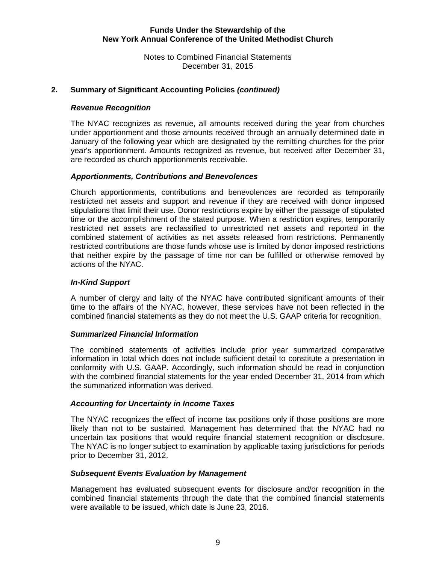Notes to Combined Financial Statements December 31, 2015

### **2. Summary of Significant Accounting Policies** *(continued)*

#### *Revenue Recognition*

The NYAC recognizes as revenue, all amounts received during the year from churches under apportionment and those amounts received through an annually determined date in January of the following year which are designated by the remitting churches for the prior year's apportionment. Amounts recognized as revenue, but received after December 31, are recorded as church apportionments receivable.

#### *Apportionments, Contributions and Benevolences*

Church apportionments, contributions and benevolences are recorded as temporarily restricted net assets and support and revenue if they are received with donor imposed stipulations that limit their use. Donor restrictions expire by either the passage of stipulated time or the accomplishment of the stated purpose. When a restriction expires, temporarily restricted net assets are reclassified to unrestricted net assets and reported in the combined statement of activities as net assets released from restrictions. Permanently restricted contributions are those funds whose use is limited by donor imposed restrictions that neither expire by the passage of time nor can be fulfilled or otherwise removed by actions of the NYAC.

#### *In-Kind Support*

A number of clergy and laity of the NYAC have contributed significant amounts of their time to the affairs of the NYAC, however, these services have not been reflected in the combined financial statements as they do not meet the U.S. GAAP criteria for recognition.

#### *Summarized Financial Information*

The combined statements of activities include prior year summarized comparative information in total which does not include sufficient detail to constitute a presentation in conformity with U.S. GAAP. Accordingly, such information should be read in conjunction with the combined financial statements for the year ended December 31, 2014 from which the summarized information was derived.

#### *Accounting for Uncertainty in Income Taxes*

The NYAC recognizes the effect of income tax positions only if those positions are more likely than not to be sustained. Management has determined that the NYAC had no uncertain tax positions that would require financial statement recognition or disclosure. The NYAC is no longer subject to examination by applicable taxing jurisdictions for periods prior to December 31, 2012.

#### *Subsequent Events Evaluation by Management*

Management has evaluated subsequent events for disclosure and/or recognition in the combined financial statements through the date that the combined financial statements were available to be issued, which date is June 23, 2016.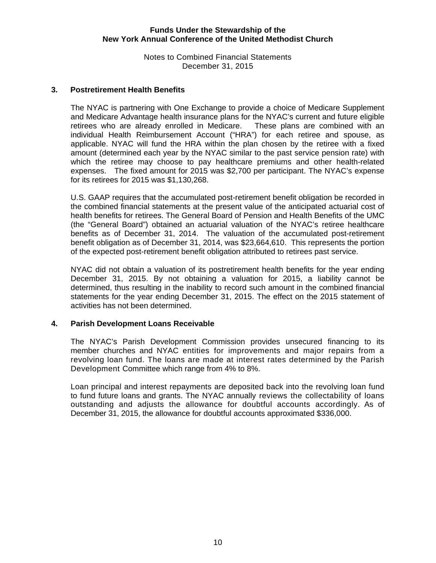Notes to Combined Financial Statements December 31, 2015

#### **3. Postretirement Health Benefits**

The NYAC is partnering with One Exchange to provide a choice of Medicare Supplement and Medicare Advantage health insurance plans for the NYAC's current and future eligible retirees who are already enrolled in Medicare. These plans are combined with an individual Health Reimbursement Account ("HRA") for each retiree and spouse, as applicable. NYAC will fund the HRA within the plan chosen by the retiree with a fixed amount (determined each year by the NYAC similar to the past service pension rate) with which the retiree may choose to pay healthcare premiums and other health-related expenses. The fixed amount for 2015 was \$2,700 per participant. The NYAC's expense for its retirees for 2015 was \$1,130,268.

U.S. GAAP requires that the accumulated post-retirement benefit obligation be recorded in the combined financial statements at the present value of the anticipated actuarial cost of health benefits for retirees. The General Board of Pension and Health Benefits of the UMC (the "General Board") obtained an actuarial valuation of the NYAC's retiree healthcare benefits as of December 31, 2014. The valuation of the accumulated post-retirement benefit obligation as of December 31, 2014, was \$23,664,610. This represents the portion of the expected post-retirement benefit obligation attributed to retirees past service.

NYAC did not obtain a valuation of its postretirement health benefits for the year ending December 31, 2015. By not obtaining a valuation for 2015, a liability cannot be determined, thus resulting in the inability to record such amount in the combined financial statements for the year ending December 31, 2015. The effect on the 2015 statement of activities has not been determined.

#### **4. Parish Development Loans Receivable**

The NYAC's Parish Development Commission provides unsecured financing to its member churches and NYAC entities for improvements and major repairs from a revolving loan fund. The loans are made at interest rates determined by the Parish Development Committee which range from 4% to 8%.

Loan principal and interest repayments are deposited back into the revolving loan fund to fund future loans and grants. The NYAC annually reviews the collectability of loans outstanding and adjusts the allowance for doubtful accounts accordingly. As of December 31, 2015, the allowance for doubtful accounts approximated \$336,000.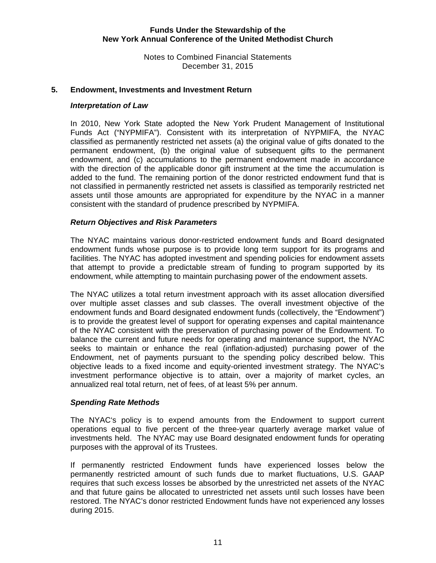Notes to Combined Financial Statements December 31, 2015

#### **5. Endowment, Investments and Investment Return**

#### *Interpretation of Law*

In 2010, New York State adopted the New York Prudent Management of Institutional Funds Act ("NYPMIFA"). Consistent with its interpretation of NYPMIFA, the NYAC classified as permanently restricted net assets (a) the original value of gifts donated to the permanent endowment, (b) the original value of subsequent gifts to the permanent endowment, and (c) accumulations to the permanent endowment made in accordance with the direction of the applicable donor gift instrument at the time the accumulation is added to the fund. The remaining portion of the donor restricted endowment fund that is not classified in permanently restricted net assets is classified as temporarily restricted net assets until those amounts are appropriated for expenditure by the NYAC in a manner consistent with the standard of prudence prescribed by NYPMIFA.

#### *Return Objectives and Risk Parameters*

The NYAC maintains various donor-restricted endowment funds and Board designated endowment funds whose purpose is to provide long term support for its programs and facilities. The NYAC has adopted investment and spending policies for endowment assets that attempt to provide a predictable stream of funding to program supported by its endowment, while attempting to maintain purchasing power of the endowment assets.

The NYAC utilizes a total return investment approach with its asset allocation diversified over multiple asset classes and sub classes. The overall investment objective of the endowment funds and Board designated endowment funds (collectively, the "Endowment") is to provide the greatest level of support for operating expenses and capital maintenance of the NYAC consistent with the preservation of purchasing power of the Endowment. To balance the current and future needs for operating and maintenance support, the NYAC seeks to maintain or enhance the real (inflation-adjusted) purchasing power of the Endowment, net of payments pursuant to the spending policy described below. This objective leads to a fixed income and equity-oriented investment strategy. The NYAC's investment performance objective is to attain, over a majority of market cycles, an annualized real total return, net of fees, of at least 5% per annum.

#### *Spending Rate Methods*

The NYAC's policy is to expend amounts from the Endowment to support current operations equal to five percent of the three-year quarterly average market value of investments held. The NYAC may use Board designated endowment funds for operating purposes with the approval of its Trustees.

If permanently restricted Endowment funds have experienced losses below the permanently restricted amount of such funds due to market fluctuations, U.S. GAAP requires that such excess losses be absorbed by the unrestricted net assets of the NYAC and that future gains be allocated to unrestricted net assets until such losses have been restored. The NYAC's donor restricted Endowment funds have not experienced any losses during 2015.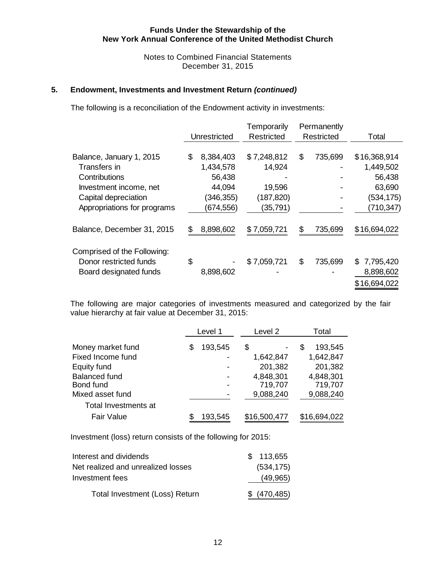Notes to Combined Financial Statements December 31, 2015

#### **5. Endowment, Investments and Investment Return** *(continued)*

The following is a reconciliation of the Endowment activity in investments:

|                             | Unrestricted    | Temporarily<br><b>Restricted</b> | Permanently<br><b>Restricted</b> | Total           |
|-----------------------------|-----------------|----------------------------------|----------------------------------|-----------------|
|                             |                 |                                  |                                  |                 |
| Balance, January 1, 2015    | \$<br>8,384,403 | \$7,248,812                      | \$<br>735,699                    | \$16,368,914    |
| Transfers in                | 1,434,578       | 14,924                           |                                  | 1,449,502       |
| Contributions               | 56,438          |                                  |                                  | 56,438          |
| Investment income, net      | 44,094          | 19,596                           |                                  | 63,690          |
| Capital depreciation        | (346, 355)      | (187, 820)                       |                                  | (534,175)       |
| Appropriations for programs | (674, 556)      | (35, 791)                        |                                  | (710, 347)      |
| Balance, December 31, 2015  | \$<br>8,898,602 | \$7,059,721                      | \$<br>735,699                    | \$16,694,022    |
| Comprised of the Following: |                 |                                  |                                  |                 |
| Donor restricted funds      | \$              | \$7,059,721                      | \$<br>735,699                    | 7,795,420<br>\$ |
| Board designated funds      | 8,898,602       |                                  |                                  | 8,898,602       |
|                             |                 |                                  |                                  | \$16,694,022    |

The following are major categories of investments measured and categorized by the fair value hierarchy at fair value at December 31, 2015:

|                                   |   | Level 1 | Level 2              | Total                |
|-----------------------------------|---|---------|----------------------|----------------------|
| Money market fund                 | S | 193,545 | S                    | 193,545<br>S         |
| Fixed Income fund                 |   |         | 1,642,847            | 1,642,847            |
| Equity fund                       |   |         | 201,382              | 201,382              |
| <b>Balanced fund</b><br>Bond fund |   |         | 4,848,301<br>719,707 | 4,848,301<br>719,707 |
| Mixed asset fund                  |   |         | 9,088,240            | 9,088,240            |
| Total Investments at              |   |         |                      |                      |
| <b>Fair Value</b>                 |   | 193,545 | \$16,500,477         | \$16,694,022         |

Investment (loss) return consists of the following for 2015:

| Interest and dividends             | \$113,655     |
|------------------------------------|---------------|
| Net realized and unrealized losses | (534, 175)    |
| Investment fees                    | (49, 965)     |
| Total Investment (Loss) Return     | \$ (470, 485) |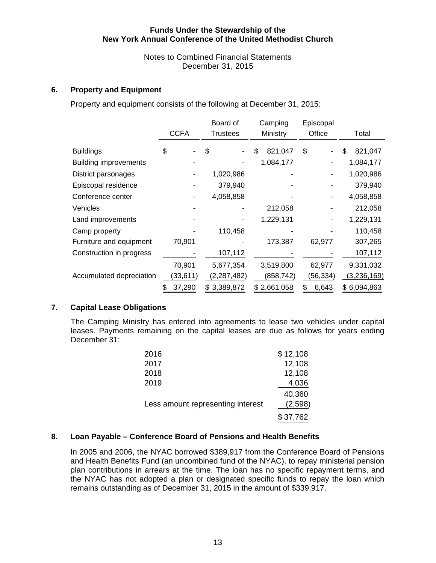Notes to Combined Financial Statements December 31, 2015

## **6. Property and Equipment**

Property and equipment consists of the following at December 31, 2015:

|                              | <b>CCFA</b>  | Board of<br>Trustees | Camping<br>Ministry | Episcopal<br>Office | Total         |
|------------------------------|--------------|----------------------|---------------------|---------------------|---------------|
| <b>Buildings</b>             | \$           | \$                   | 821,047<br>\$       | \$                  | 821,047<br>\$ |
| <b>Building improvements</b> |              |                      | 1,084,177           |                     | 1,084,177     |
| District parsonages          |              | 1,020,986            |                     |                     | 1,020,986     |
| Episcopal residence          |              | 379,940              |                     |                     | 379,940       |
| Conference center            |              | 4,058,858            |                     |                     | 4,058,858     |
| <b>Vehicles</b>              |              |                      | 212,058             |                     | 212,058       |
| Land improvements            |              |                      | 1,229,131           |                     | 1,229,131     |
| Camp property                |              | 110,458              |                     |                     | 110,458       |
| Furniture and equipment      | 70,901       |                      | 173,387             | 62,977              | 307,265       |
| Construction in progress     |              | 107,112              |                     |                     | 107,112       |
|                              | 70,901       | 5,677,354            | 3,519,800           | 62,977              | 9,331,032     |
| Accumulated depreciation     | (33,611)     | (2, 287, 482)        | (858,742)           | (56,334)            | (3,236,169)   |
|                              | 37,290<br>\$ | \$3,389,872          | \$2,661,058         | 6,643<br>S          | \$6,094,863   |

#### **7. Capital Lease Obligations**

The Camping Ministry has entered into agreements to lease two vehicles under capital leases. Payments remaining on the capital leases are due as follows for years ending December 31:

| 2016                              | \$12,108 |
|-----------------------------------|----------|
| 2017                              | 12,108   |
| 2018                              | 12,108   |
| 2019                              | 4,036    |
|                                   | 40,360   |
| Less amount representing interest | (2,598)  |
|                                   | \$37,762 |

## **8. Loan Payable – Conference Board of Pensions and Health Benefits**

In 2005 and 2006, the NYAC borrowed \$389,917 from the Conference Board of Pensions and Health Benefits Fund (an uncombined fund of the NYAC), to repay ministerial pension plan contributions in arrears at the time. The loan has no specific repayment terms, and the NYAC has not adopted a plan or designated specific funds to repay the loan which remains outstanding as of December 31, 2015 in the amount of \$339,917.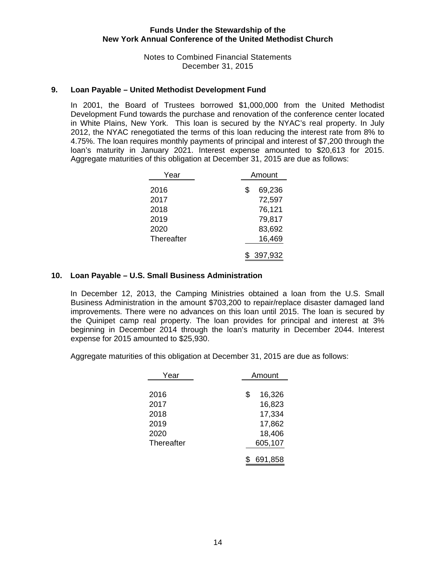Notes to Combined Financial Statements December 31, 2015

#### **9. Loan Payable – United Methodist Development Fund**

In 2001, the Board of Trustees borrowed \$1,000,000 from the United Methodist Development Fund towards the purchase and renovation of the conference center located in White Plains, New York. This loan is secured by the NYAC's real property. In July 2012, the NYAC renegotiated the terms of this loan reducing the interest rate from 8% to 4.75%. The loan requires monthly payments of principal and interest of \$7,200 through the loan's maturity in January 2021. Interest expense amounted to \$20,613 for 2015. Aggregate maturities of this obligation at December 31, 2015 are due as follows:

| Year         | Amount |                  |  |
|--------------|--------|------------------|--|
| 2016<br>2017 | \$     | 69,236<br>72,597 |  |
| 2018         |        | 76,121           |  |
| 2019<br>2020 |        | 79,817<br>83,692 |  |
| Thereafter   |        | 16,469           |  |
|              |        | 397,932          |  |

#### **10. Loan Payable – U.S. Small Business Administration**

In December 12, 2013, the Camping Ministries obtained a loan from the U.S. Small Business Administration in the amount \$703,200 to repair/replace disaster damaged land improvements. There were no advances on this loan until 2015. The loan is secured by the Quinipet camp real property. The loan provides for principal and interest at 3% beginning in December 2014 through the loan's maturity in December 2044. Interest expense for 2015 amounted to \$25,930.

Aggregate maturities of this obligation at December 31, 2015 are due as follows:

| Year       | Amount |         |  |
|------------|--------|---------|--|
|            |        |         |  |
| 2016       | \$     | 16,326  |  |
| 2017       |        | 16,823  |  |
| 2018       |        | 17,334  |  |
| 2019       |        | 17,862  |  |
| 2020       |        | 18,406  |  |
| Thereafter |        | 605,107 |  |
|            |        | 691,858 |  |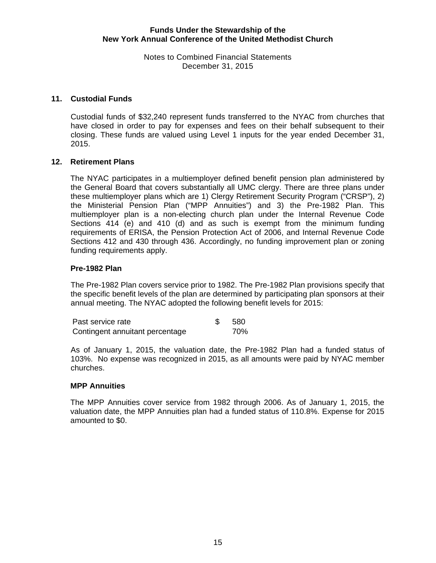Notes to Combined Financial Statements December 31, 2015

#### **11. Custodial Funds**

Custodial funds of \$32,240 represent funds transferred to the NYAC from churches that have closed in order to pay for expenses and fees on their behalf subsequent to their closing. These funds are valued using Level 1 inputs for the year ended December 31, 2015.

#### **12. Retirement Plans**

The NYAC participates in a multiemployer defined benefit pension plan administered by the General Board that covers substantially all UMC clergy. There are three plans under these multiemployer plans which are 1) Clergy Retirement Security Program ("CRSP"), 2) the Ministerial Pension Plan ("MPP Annuities") and 3) the Pre-1982 Plan. This multiemployer plan is a non-electing church plan under the Internal Revenue Code Sections 414 (e) and 410 (d) and as such is exempt from the minimum funding requirements of ERISA, the Pension Protection Act of 2006, and Internal Revenue Code Sections 412 and 430 through 436. Accordingly, no funding improvement plan or zoning funding requirements apply.

#### **Pre-1982 Plan**

The Pre-1982 Plan covers service prior to 1982. The Pre-1982 Plan provisions specify that the specific benefit levels of the plan are determined by participating plan sponsors at their annual meeting. The NYAC adopted the following benefit levels for 2015:

| Past service rate               | -580 |
|---------------------------------|------|
| Contingent annuitant percentage | 70%  |

As of January 1, 2015, the valuation date, the Pre-1982 Plan had a funded status of 103%. No expense was recognized in 2015, as all amounts were paid by NYAC member churches.

#### **MPP Annuities**

The MPP Annuities cover service from 1982 through 2006. As of January 1, 2015, the valuation date, the MPP Annuities plan had a funded status of 110.8%. Expense for 2015 amounted to \$0.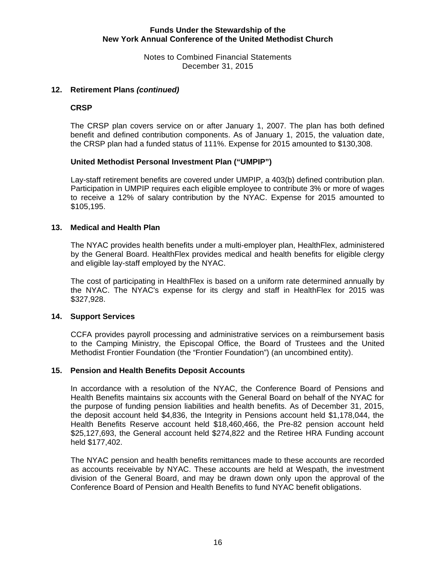Notes to Combined Financial Statements December 31, 2015

#### **12. Retirement Plans** *(continued)*

#### **CRSP**

The CRSP plan covers service on or after January 1, 2007. The plan has both defined benefit and defined contribution components. As of January 1, 2015, the valuation date, the CRSP plan had a funded status of 111%. Expense for 2015 amounted to \$130,308.

#### **United Methodist Personal Investment Plan ("UMPIP")**

Lay-staff retirement benefits are covered under UMPIP, a 403(b) defined contribution plan. Participation in UMPIP requires each eligible employee to contribute 3% or more of wages to receive a 12% of salary contribution by the NYAC. Expense for 2015 amounted to \$105,195.

#### **13. Medical and Health Plan**

The NYAC provides health benefits under a multi-employer plan, HealthFlex, administered by the General Board. HealthFlex provides medical and health benefits for eligible clergy and eligible lay-staff employed by the NYAC.

The cost of participating in HealthFlex is based on a uniform rate determined annually by the NYAC. The NYAC's expense for its clergy and staff in HealthFlex for 2015 was \$327,928.

#### **14. Support Services**

CCFA provides payroll processing and administrative services on a reimbursement basis to the Camping Ministry, the Episcopal Office, the Board of Trustees and the United Methodist Frontier Foundation (the "Frontier Foundation") (an uncombined entity).

#### **15. Pension and Health Benefits Deposit Accounts**

In accordance with a resolution of the NYAC, the Conference Board of Pensions and Health Benefits maintains six accounts with the General Board on behalf of the NYAC for the purpose of funding pension liabilities and health benefits. As of December 31, 2015, the deposit account held \$4,836, the Integrity in Pensions account held \$1,178,044, the Health Benefits Reserve account held \$18,460,466, the Pre-82 pension account held \$25,127,693, the General account held \$274,822 and the Retiree HRA Funding account held \$177,402.

The NYAC pension and health benefits remittances made to these accounts are recorded as accounts receivable by NYAC. These accounts are held at Wespath, the investment division of the General Board, and may be drawn down only upon the approval of the Conference Board of Pension and Health Benefits to fund NYAC benefit obligations.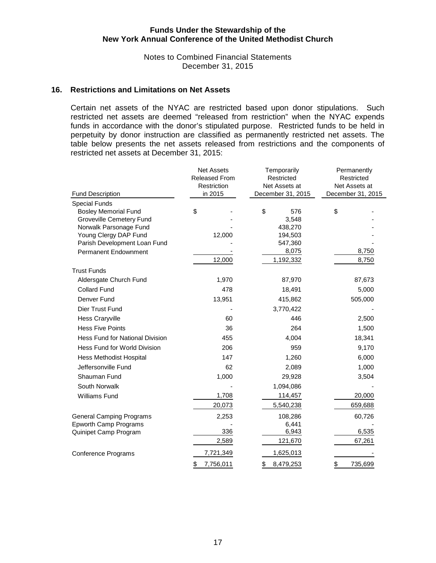Notes to Combined Financial Statements December 31, 2015

#### **16. Restrictions and Limitations on Net Assets**

Certain net assets of the NYAC are restricted based upon donor stipulations. Such restricted net assets are deemed "released from restriction" when the NYAC expends funds in accordance with the donor's stipulated purpose. Restricted funds to be held in perpetuity by donor instruction are classified as permanently restricted net assets. The table below presents the net assets released from restrictions and the components of restricted net assets at December 31, 2015:

|                                                    | <b>Net Assets</b><br><b>Released From</b><br>Restriction | Temporarily<br>Restricted<br>Net Assets at | Permanently<br>Restricted<br>Net Assets at<br>December 31, 2015 |  |  |
|----------------------------------------------------|----------------------------------------------------------|--------------------------------------------|-----------------------------------------------------------------|--|--|
| <b>Fund Description</b>                            | in 2015                                                  | December 31, 2015                          |                                                                 |  |  |
| <b>Special Funds</b>                               |                                                          |                                            |                                                                 |  |  |
| <b>Bosley Memorial Fund</b>                        | \$                                                       | \$<br>576                                  | \$                                                              |  |  |
| Groveville Cemetery Fund<br>Norwalk Parsonage Fund |                                                          | 3,548<br>438,270                           |                                                                 |  |  |
| Young Clergy DAP Fund                              | 12,000                                                   | 194,503                                    |                                                                 |  |  |
| Parish Development Loan Fund                       |                                                          | 547,360                                    |                                                                 |  |  |
| <b>Permanent Endownment</b>                        |                                                          | 8,075                                      | 8,750                                                           |  |  |
|                                                    | 12,000                                                   | 1,192,332                                  | 8,750                                                           |  |  |
| <b>Trust Funds</b>                                 |                                                          |                                            |                                                                 |  |  |
| Aldersgate Church Fund                             | 1,970                                                    | 87,970                                     | 87,673                                                          |  |  |
| <b>Collard Fund</b>                                | 478                                                      | 18,491                                     | 5,000                                                           |  |  |
| Denver Fund                                        | 13,951                                                   | 415,862                                    | 505,000                                                         |  |  |
| Dier Trust Fund                                    |                                                          | 3,770,422                                  |                                                                 |  |  |
| <b>Hess Craryville</b>                             | 60                                                       | 446                                        | 2,500                                                           |  |  |
| <b>Hess Five Points</b>                            | 36                                                       | 264                                        | 1,500                                                           |  |  |
| <b>Hess Fund for National Division</b>             | 455                                                      | 4,004                                      | 18,341                                                          |  |  |
| Hess Fund for World Division                       | 206                                                      | 959                                        | 9,170                                                           |  |  |
| <b>Hess Methodist Hospital</b>                     | 147                                                      | 1,260                                      | 6,000                                                           |  |  |
| Jeffersonville Fund                                | 62                                                       | 2,089                                      | 1,000                                                           |  |  |
| Shauman Fund                                       | 1,000                                                    | 29,928                                     | 3,504                                                           |  |  |
| South Norwalk                                      |                                                          | 1,094,086                                  |                                                                 |  |  |
| <b>Williams Fund</b>                               | 1,708                                                    | 114,457                                    | 20,000                                                          |  |  |
|                                                    | 20,073                                                   | 5,540,238                                  | 659,688                                                         |  |  |
| <b>General Camping Programs</b>                    | 2,253                                                    | 108,286                                    | 60,726                                                          |  |  |
| <b>Epworth Camp Programs</b>                       |                                                          | 6,441                                      |                                                                 |  |  |
| Quinipet Camp Program                              | 336                                                      | 6,943                                      | 6,535                                                           |  |  |
|                                                    | 2,589                                                    | 121,670                                    | 67,261                                                          |  |  |
| <b>Conference Programs</b>                         | 7,721,349                                                | 1,625,013                                  |                                                                 |  |  |
|                                                    | 7,756,011<br>\$                                          | 8,479,253<br>\$                            | \$<br>735,699                                                   |  |  |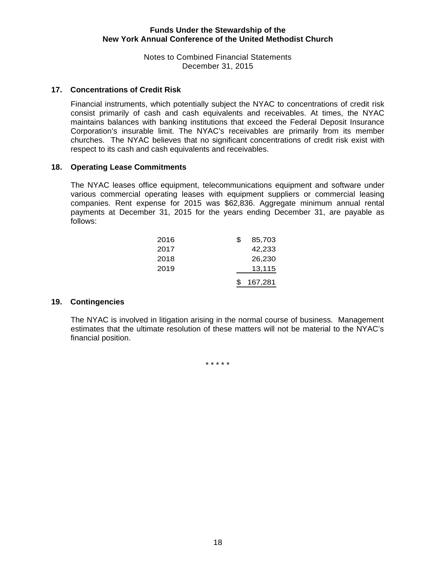Notes to Combined Financial Statements December 31, 2015

#### **17. Concentrations of Credit Risk**

Financial instruments, which potentially subject the NYAC to concentrations of credit risk consist primarily of cash and cash equivalents and receivables. At times, the NYAC maintains balances with banking institutions that exceed the Federal Deposit Insurance Corporation's insurable limit. The NYAC's receivables are primarily from its member churches. The NYAC believes that no significant concentrations of credit risk exist with respect to its cash and cash equivalents and receivables.

#### **18. Operating Lease Commitments**

The NYAC leases office equipment, telecommunications equipment and software under various commercial operating leases with equipment suppliers or commercial leasing companies. Rent expense for 2015 was \$62,836. Aggregate minimum annual rental payments at December 31, 2015 for the years ending December 31, are payable as follows:

| 2016 | \$. | 85,703  |
|------|-----|---------|
| 2017 |     | 42,233  |
| 2018 |     | 26,230  |
| 2019 |     | 13,115  |
|      |     | 167,281 |
|      |     |         |

#### **19. Contingencies**

The NYAC is involved in litigation arising in the normal course of business. Management estimates that the ultimate resolution of these matters will not be material to the NYAC's financial position.

\* \* \* \* \*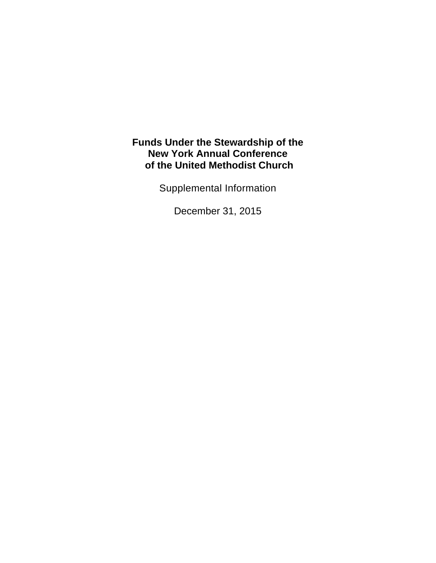Supplemental Information

December 31, 2015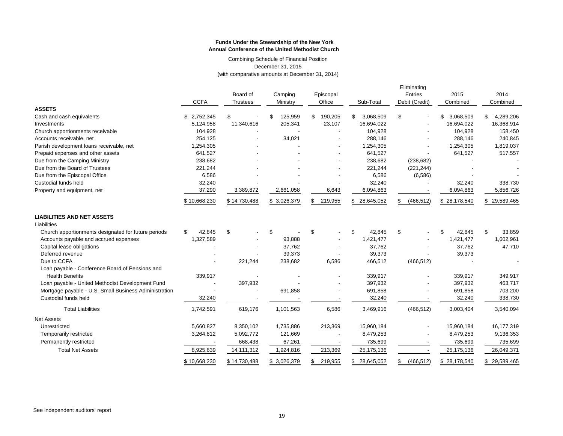Combining Schedule of Financial Position December 31, 2015 (with comparative amounts at December 31, 2014)

|                                                       | <b>CCFA</b>  | Board of<br><b>Trustees</b> | Camping<br>Ministry | Episcopal<br>Office | Sub-Total       | Eliminating<br>Entries<br>Debit (Credit) | 2015<br>Combined | 2014<br>Combined |
|-------------------------------------------------------|--------------|-----------------------------|---------------------|---------------------|-----------------|------------------------------------------|------------------|------------------|
| <b>ASSETS</b>                                         |              |                             |                     |                     |                 |                                          |                  |                  |
| Cash and cash equivalents                             | \$2,752,345  | \$                          | 125,959<br>\$.      | 190,205<br>\$       | \$<br>3,068,509 | \$                                       | 3,068,509<br>\$  | \$<br>4,289,206  |
| Investments                                           | 5,124,958    | 11,340,616                  | 205,341             | 23,107              | 16,694,022      |                                          | 16,694,022       | 16,368,914       |
| Church apportionments receivable                      | 104,928      |                             |                     |                     | 104,928         |                                          | 104,928          | 158,450          |
| Accounts receivable, net                              | 254,125      |                             | 34,021              |                     | 288,146         |                                          | 288,146          | 240,845          |
| Parish development loans receivable, net              | 1,254,305    |                             |                     |                     | 1,254,305       |                                          | 1,254,305        | 1,819,037        |
| Prepaid expenses and other assets                     | 641,527      |                             |                     |                     | 641,527         |                                          | 641,527          | 517,557          |
| Due from the Camping Ministry                         | 238,682      |                             |                     |                     | 238,682         | (238, 682)                               |                  |                  |
| Due from the Board of Trustees                        | 221,244      |                             |                     |                     | 221,244         | (221, 244)                               |                  |                  |
| Due from the Episcopal Office                         | 6,586        |                             |                     |                     | 6,586           | (6, 586)                                 |                  |                  |
| Custodial funds held                                  | 32,240       |                             |                     |                     | 32,240          |                                          | 32,240           | 338,730          |
| Property and equipment, net                           | 37,290       | 3,389,872                   | 2,661,058           | 6,643               | 6,094,863       |                                          | 6,094,863        | 5,856,726        |
|                                                       | \$10,668,230 | \$14,730,488                | \$ 3,026,379        | \$219,955           | \$ 28,645,052   | (466, 512)<br>S                          | \$28,178,540     | \$29,589,465     |
| <b>LIABILITIES AND NET ASSETS</b><br>Liabilities      |              |                             |                     |                     |                 |                                          |                  |                  |
| Church apportionments designated for future periods   | \$<br>42.845 | \$                          | \$                  | \$                  | \$<br>42.845    | \$                                       | 42.845<br>\$     | \$<br>33,859     |
| Accounts payable and accrued expenses                 | 1,327,589    |                             | 93,888              |                     | 1,421,477       |                                          | 1,421,477        | 1,602,961        |
| Capital lease obligations                             |              |                             | 37,762              |                     | 37,762          |                                          | 37,762           | 47,710           |
| Deferred revenue                                      |              |                             | 39,373              |                     | 39,373          |                                          | 39,373           |                  |
| Due to CCFA                                           |              | 221,244                     | 238,682             | 6,586               | 466,512         | (466, 512)                               |                  |                  |
| Loan payable - Conference Board of Pensions and       |              |                             |                     |                     |                 |                                          |                  |                  |
| <b>Health Benefits</b>                                | 339,917      |                             |                     |                     | 339,917         |                                          | 339,917          | 349,917          |
| Loan payable - United Methodist Development Fund      |              | 397,932                     |                     |                     | 397,932         |                                          | 397,932          | 463,717          |
| Mortgage payable - U.S. Small Business Administration |              |                             | 691,858             |                     | 691,858         |                                          | 691,858          | 703,200          |
| Custodial funds held                                  | 32,240       |                             |                     |                     | 32,240          |                                          | 32,240           | 338,730          |
| <b>Total Liabilities</b>                              | 1,742,591    | 619,176                     | 1,101,563           | 6,586               | 3,469,916       | (466, 512)                               | 3,003,404        | 3,540,094        |
|                                                       |              |                             |                     |                     |                 |                                          |                  |                  |
| <b>Net Assets</b>                                     |              |                             |                     |                     |                 |                                          |                  |                  |
| Unrestricted                                          | 5,660,827    | 8,350,102                   | 1,735,886           | 213,369             | 15,960,184      |                                          | 15,960,184       | 16,177,319       |
| Temporarily restricted                                | 3,264,812    | 5,092,772                   | 121,669             |                     | 8,479,253       |                                          | 8,479,253        | 9,136,353        |
| Permanently restricted                                |              | 668,438                     | 67,261              |                     | 735,699         |                                          | 735,699          | 735,699          |
| <b>Total Net Assets</b>                               | 8,925,639    | 14,111,312                  | 1,924,816           | 213,369             | 25, 175, 136    |                                          | 25,175,136       | 26,049,371       |
|                                                       | \$10,668,230 | \$14,730,488                | \$3,026,379         | 219,955<br>\$       | \$ 28,645,052   | (466, 512)<br>\$                         | \$28,178,540     | \$29,589,465     |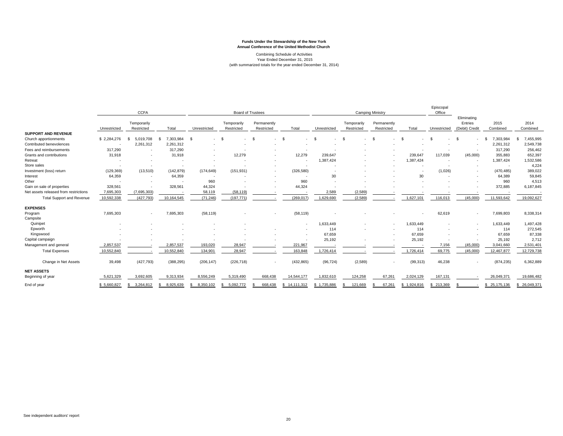#### Combining Schedule of Activities Year Ended December 31, 2015 (with summarized totals for the year ended December 31, 2014)

|                                       |              | <b>CCFA</b>               |                 | <b>Board of Trustees</b> |                           |                           | <b>Camping Ministry</b> |                          |                           |                           | Episcopal<br>Office | Eliminating  |                           |                  |                   |
|---------------------------------------|--------------|---------------------------|-----------------|--------------------------|---------------------------|---------------------------|-------------------------|--------------------------|---------------------------|---------------------------|---------------------|--------------|---------------------------|------------------|-------------------|
|                                       | Unrestricted | Temporarily<br>Restricted | Total           | Unrestricted             | Temporarily<br>Restricted | Permanently<br>Restricted | Total                   | Unrestricted             | Temporarily<br>Restricted | Permanently<br>Restricted | Total               | Unrestricted | Entries<br>(Debit) Credit | 2015<br>Combined | 2014<br>Combined  |
| <b>SUPPORT AND REVENUE</b>            |              |                           |                 |                          |                           |                           |                         |                          |                           |                           |                     |              |                           |                  |                   |
| Church apportionments                 | \$2,284,276  | 5,019,708<br>£.           | ,303,984<br>\$. | $\mathcal{S}$<br>$\sim$  | \$                        | \$                        |                         |                          | $\mathfrak{s}$            | \$.<br>٠                  | - \$                | - \$         |                           | 7,303,984        | 7,455,995<br>S.   |
| Contributed benevolences              |              | 2,261,312                 | 2,261,312       |                          |                           |                           |                         |                          |                           |                           |                     |              |                           | 2,261,312        | 2,549,738         |
| Fees and reimbursements               | 317,290      |                           | 317,290         |                          |                           |                           |                         |                          |                           |                           |                     |              |                           | 317,290          | 256,462           |
| Grants and contributions              | 31,918       |                           | 31,918          |                          | 12,279                    |                           | 12,279                  | 239,647                  |                           |                           | 239,647             | 117,039      | (45,000)                  | 355,883          | 652,397           |
| Retreat                               |              |                           |                 |                          |                           |                           |                         | 1.387.424                |                           |                           | 1,387,424           |              | ٠                         | 1,387,424        | 1,532,586         |
| Store sales                           |              |                           |                 |                          |                           |                           |                         |                          |                           |                           |                     |              |                           | . .              | 4,224             |
| Investment (loss) return              | (129, 369)   | (13,510)                  | (142, 879)      | (174, 649)               | (151, 931)                |                           | (326, 580)              |                          |                           |                           |                     | (1,026)      | $\overline{\phantom{a}}$  | (470, 485)       | 389,022           |
| Interest                              | 64,359       |                           | 64,359          |                          |                           |                           |                         | 30                       |                           |                           | 30                  |              |                           | 64,389           | 59,845            |
| Other                                 |              | $\overline{\phantom{a}}$  |                 | 960                      |                           |                           | 960                     | $\overline{\phantom{a}}$ |                           |                           |                     |              |                           | 960              | 4,513             |
| Gain on sale of properties            | 328,561      |                           | 328,561         | 44,324                   |                           |                           | 44,324                  |                          |                           |                           |                     |              |                           | 372,885          | 6,187,845         |
| Net assets released from restrictions | 7,695,303    | (7,695,303)               |                 | 58,119                   | (58, 119)                 |                           |                         | 2,589                    | (2, 589)                  |                           |                     |              |                           |                  |                   |
| <b>Total Support and Revenue</b>      | 10,592,338   | (427, 793)                | 10,164,545      | (71, 246)                | (197, 771)                |                           | (269, 017)              | 1,629,690                | (2,589)                   |                           | 1,627,101           | 116,013      | (45,000)                  | 11,593,642       | 19,092,627        |
| <b>EXPENSES</b>                       |              |                           |                 |                          |                           |                           |                         |                          |                           |                           |                     |              |                           |                  |                   |
| Program                               | 7,695,303    | $\overline{\phantom{a}}$  | 7,695,303       | (58, 119)                |                           | ۰.                        | (58, 119)               |                          |                           |                           |                     | 62,619       | ٠                         | 7,699,803        | 8,338,314         |
| Campsite                              |              |                           |                 |                          |                           |                           |                         |                          |                           |                           |                     |              |                           |                  |                   |
| Quinipet                              |              |                           |                 |                          |                           |                           | ۰.                      | 1,633,449                |                           |                           | 1,633,449           |              | ٠                         | 1,633,449        | 1,497,428         |
| Epworth                               |              |                           |                 |                          |                           |                           |                         | 114                      |                           |                           | 114                 |              |                           | 114              | 272,545           |
| Kingswood                             |              |                           |                 |                          |                           |                           |                         | 67,659                   |                           |                           | 67.659              |              |                           | 67,659           | 87,338            |
| Capital campaign                      |              |                           |                 |                          |                           |                           |                         | 25,192                   |                           |                           | 25,192              |              |                           | 25,192           | 2,712             |
| Management and general                | 2,857,537    |                           | 2,857,537       | 193,020                  | 28,947                    |                           | 221,967                 |                          |                           |                           |                     | 7,156        | (45,000)                  | 3,041,660        | 2,531,401         |
| <b>Total Expenses</b>                 | 10,552,840   |                           | 10,552,840      | 134,901                  | 28,947                    |                           | 163,848                 | 1,726,414                |                           |                           | 1,726,414           | 69,775       | (45,000)                  | 12,467,877       | 12,729,738        |
| Change in Net Assets                  | 39,498       | (427, 793)                | (388, 295)      | (206, 147)               | (226, 718)                |                           | (432, 865)              | (96, 724)                | (2, 589)                  |                           | (99, 313)           | 46,238       |                           | (874, 235)       | 6,362,889         |
| <b>NET ASSETS</b>                     |              |                           |                 |                          |                           |                           |                         |                          |                           |                           |                     |              |                           |                  |                   |
| Beginning of year                     | 5,621,329    | 3,692,605                 | 9,313,934       | 8,556,249                | 5,319,490                 | 668.438                   | 14,544,177              | 1,832,610                | 124,258                   | 67,261                    | 2,024,129           | 167,131      |                           | 26,049,371       | 19,686,482        |
| End of year                           | \$5,660,827  | 3,264,812<br>S            | 8,925,639<br>£. | 8,350,102<br>S.          | 5,092,772                 | 668,438                   | 14,111,312<br>s.        | \$1,735,886              | 121,669                   | 67,261                    | 1,924,816<br>S.     | 213,369      |                           | 25,175,136<br>S. | 26,049,371<br>\$. |